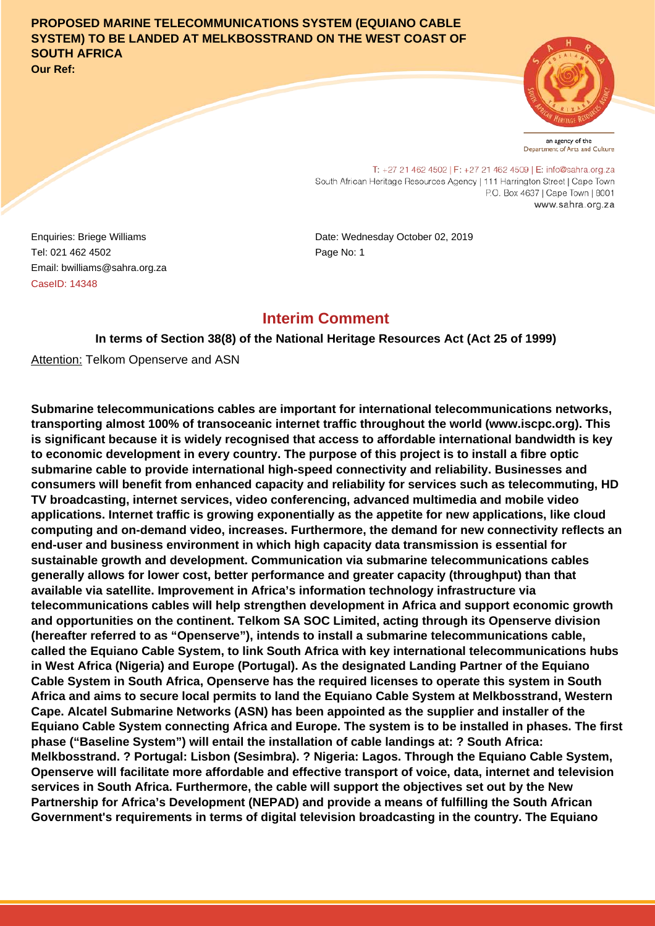### **PROPOSED MARINE TELECOMMUNICATIONS SYSTEM (EQUIANO CABLE SYSTEM) TO BE LANDED AT MELKBOSSTRAND ON THE WEST COAST OF SOUTH AFRICA Our Ref:**



an agency of the Department of Arts and Culture

T: +27 21 462 4502 | F: +27 21 462 4509 | E: info@sahra.org.za South African Heritage Resources Agency | 111 Harrington Street | Cape Town P.O. Box 4637 | Cape Town | 8001 www.sahra.org.za

Tel: 021 462 4502 Email: bwilliams@sahra.org.za CaseID: 14348

Enquiries: Briege Williams Date: Wednesday October 02, 2019 Page No: 1

## **Interim Comment**

**In terms of Section 38(8) of the National Heritage Resources Act (Act 25 of 1999)**

**Attention: Telkom Openserve and ASN** 

**Submarine telecommunications cables are important for international telecommunications networks, transporting almost 100% of transoceanic internet traffic throughout the world (www.iscpc.org). This is significant because it is widely recognised that access to affordable international bandwidth is key to economic development in every country. The purpose of this project is to install a fibre optic submarine cable to provide international high-speed connectivity and reliability. Businesses and consumers will benefit from enhanced capacity and reliability for services such as telecommuting, HD TV broadcasting, internet services, video conferencing, advanced multimedia and mobile video applications. Internet traffic is growing exponentially as the appetite for new applications, like cloud computing and on-demand video, increases. Furthermore, the demand for new connectivity reflects an end-user and business environment in which high capacity data transmission is essential for sustainable growth and development. Communication via submarine telecommunications cables generally allows for lower cost, better performance and greater capacity (throughput) than that available via satellite. Improvement in Africa's information technology infrastructure via telecommunications cables will help strengthen development in Africa and support economic growth and opportunities on the continent. Telkom SA SOC Limited, acting through its Openserve division (hereafter referred to as "Openserve"), intends to install a submarine telecommunications cable, called the Equiano Cable System, to link South Africa with key international telecommunications hubs in West Africa (Nigeria) and Europe (Portugal). As the designated Landing Partner of the Equiano Cable System in South Africa, Openserve has the required licenses to operate this system in South Africa and aims to secure local permits to land the Equiano Cable System at Melkbosstrand, Western Cape. Alcatel Submarine Networks (ASN) has been appointed as the supplier and installer of the Equiano Cable System connecting Africa and Europe. The system is to be installed in phases. The first phase ("Baseline System") will entail the installation of cable landings at: ? South Africa: Melkbosstrand. ? Portugal: Lisbon (Sesimbra). ? Nigeria: Lagos. Through the Equiano Cable System, Openserve will facilitate more affordable and effective transport of voice, data, internet and television services in South Africa. Furthermore, the cable will support the objectives set out by the New Partnership for Africa's Development (NEPAD) and provide a means of fulfilling the South African Government's requirements in terms of digital television broadcasting in the country. The Equiano**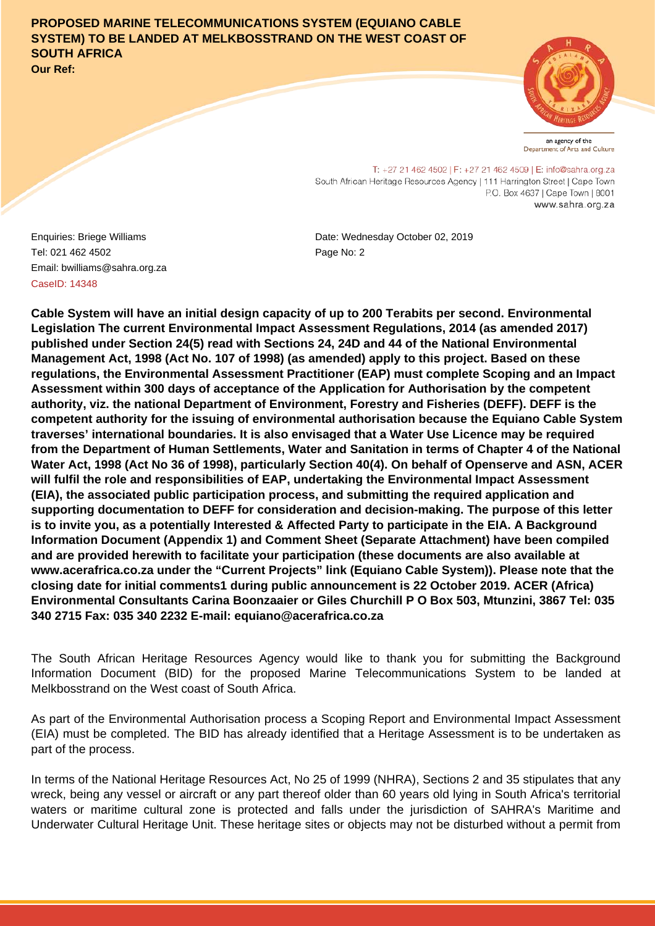# **PROPOSED MARINE TELECOMMUNICATIONS SYSTEM (EQUIANO CABLE SYSTEM) TO BE LANDED AT MELKBOSSTRAND ON THE WEST COAST OF SOUTH AFRICA**

**Our Ref:**



an agency of the Department of Arts and Culture

T: +27 21 462 4502 | F: +27 21 462 4509 | E: info@sahra.org.za South African Heritage Resources Agency | 111 Harrington Street | Cape Town P.O. Box 4637 | Cape Town | 8001 www.sahra.org.za

Tel: 021 462 4502 Email: bwilliams@sahra.org.za CaseID: 14348

Enquiries: Briege Williams Date: Wednesday October 02, 2019 Page No: 2

**Cable System will have an initial design capacity of up to 200 Terabits per second. Environmental Legislation The current Environmental Impact Assessment Regulations, 2014 (as amended 2017) published under Section 24(5) read with Sections 24, 24D and 44 of the National Environmental Management Act, 1998 (Act No. 107 of 1998) (as amended) apply to this project. Based on these regulations, the Environmental Assessment Practitioner (EAP) must complete Scoping and an Impact Assessment within 300 days of acceptance of the Application for Authorisation by the competent authority, viz. the national Department of Environment, Forestry and Fisheries (DEFF). DEFF is the competent authority for the issuing of environmental authorisation because the Equiano Cable System traverses' international boundaries. It is also envisaged that a Water Use Licence may be required from the Department of Human Settlements, Water and Sanitation in terms of Chapter 4 of the National Water Act, 1998 (Act No 36 of 1998), particularly Section 40(4). On behalf of Openserve and ASN, ACER will fulfil the role and responsibilities of EAP, undertaking the Environmental Impact Assessment (EIA), the associated public participation process, and submitting the required application and supporting documentation to DEFF for consideration and decision-making. The purpose of this letter is to invite you, as a potentially Interested & Affected Party to participate in the EIA. A Background Information Document (Appendix 1) and Comment Sheet (Separate Attachment) have been compiled and are provided herewith to facilitate your participation (these documents are also available at www.acerafrica.co.za under the "Current Projects" link (Equiano Cable System)). Please note that the closing date for initial comments1 during public announcement is 22 October 2019. ACER (Africa) Environmental Consultants Carina Boonzaaier or Giles Churchill P O Box 503, Mtunzini, 3867 Tel: 035 340 2715 Fax: 035 340 2232 E-mail: equiano@acerafrica.co.za**

The South African Heritage Resources Agency would like to thank you for submitting the Background Information Document (BID) for the proposed Marine Telecommunications System to be landed at Melkbosstrand on the West coast of South Africa.

As part of the Environmental Authorisation process a Scoping Report and Environmental Impact Assessment (EIA) must be completed. The BID has already identified that a Heritage Assessment is to be undertaken as part of the process.

In terms of the National Heritage Resources Act, No 25 of 1999 (NHRA), Sections 2 and 35 stipulates that any wreck, being any vessel or aircraft or any part thereof older than 60 years old lying in South Africa's territorial waters or maritime cultural zone is protected and falls under the jurisdiction of SAHRA's Maritime and Underwater Cultural Heritage Unit. These heritage sites or objects may not be disturbed without a permit from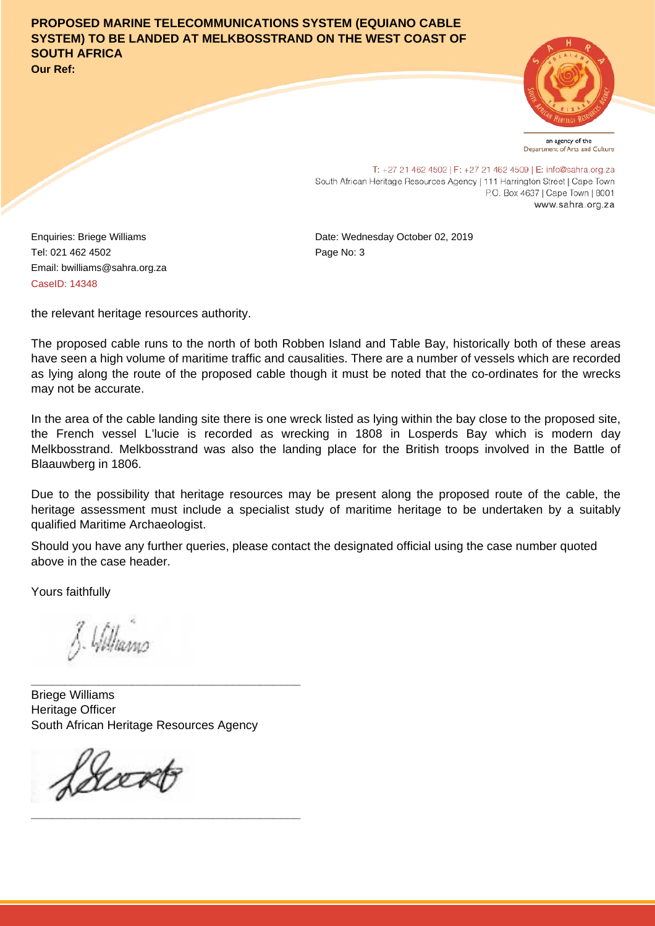**PROPOSED MARINE TELECOMMUNICATIONS SYSTEM (EQUIANO CABLE SYSTEM) TO BE LANDED AT MELKBOSSTRAND ON THE WEST COAST OF SOUTH AFRICA Our Ref:**

an agency of the Department of Arts and Culture

T: +27 21 462 4502 | F: +27 21 462 4509 | E: info@sahra.org.za South African Heritage Resources Agency | 111 Harrington Street | Cape Town P.O. Box 4637 | Cape Town | 8001 www.sahra.org.za

Tel: 021 462 4502 Email: bwilliams@sahra.org.za CaseID: 14348

Enquiries: Briege Williams Date: Wednesday October 02, 2019 Page No: 3

the relevant heritage resources authority.

The proposed cable runs to the north of both Robben Island and Table Bay, historically both of these areas have seen a high volume of maritime traffic and causalities. There are a number of vessels which are recorded as lying along the route of the proposed cable though it must be noted that the co-ordinates for the wrecks may not be accurate.

In the area of the cable landing site there is one wreck listed as lying within the bay close to the proposed site, the French vessel L'lucie is recorded as wrecking in 1808 in Losperds Bay which is modern day Melkbosstrand. Melkbosstrand was also the landing place for the British troops involved in the Battle of Blaauwberg in 1806.

Due to the possibility that heritage resources may be present along the proposed route of the cable, the heritage assessment must include a specialist study of maritime heritage to be undertaken by a suitably qualified Maritime Archaeologist.

Should you have any further queries, please contact the designated official using the case number quoted above in the case header.

Yours faithfully

J. Williams

Briege Williams Heritage Officer South African Heritage Resources Agency

**\_\_\_\_\_\_\_\_\_\_\_\_\_\_\_\_\_\_\_\_\_\_\_\_\_\_\_\_\_\_\_\_\_\_\_\_\_\_\_\_**

**\_\_\_\_\_\_\_\_\_\_\_\_\_\_\_\_\_\_\_\_\_\_\_\_\_\_\_\_\_\_\_\_\_\_\_\_\_\_\_\_**

frækt